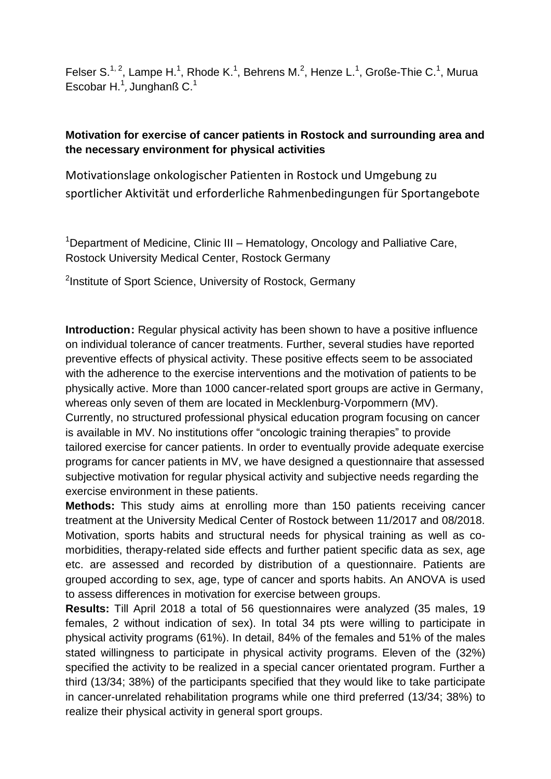Felser S.<sup>1, 2</sup>, Lampe H.<sup>1</sup>, Rhode K.<sup>1</sup>, Behrens M.<sup>2</sup>, Henze L.<sup>1</sup>, Große-Thie C.<sup>1</sup>, Murua Escobar H. $<sup>1</sup>$ , Junghanß C. $<sup>1</sup>$ </sup></sup>

## **Motivation for exercise of cancer patients in Rostock and surrounding area and the necessary environment for physical activities**

Motivationslage onkologischer Patienten in Rostock und Umgebung zu sportlicher Aktivität und erforderliche Rahmenbedingungen für Sportangebote

<sup>1</sup>Department of Medicine, Clinic III – Hematology, Oncology and Palliative Care, Rostock University Medical Center, Rostock Germany

<sup>2</sup>Institute of Sport Science, University of Rostock, Germany

**Introduction:** Regular physical activity has been shown to have a positive influence on individual tolerance of cancer treatments. Further, several studies have reported preventive effects of physical activity. These positive effects seem to be associated with the adherence to the exercise interventions and the motivation of patients to be physically active. More than 1000 cancer-related sport groups are active in Germany, whereas only seven of them are located in Mecklenburg-Vorpommern (MV). Currently, no structured professional physical education program focusing on cancer is available in MV. No institutions offer "oncologic training therapies" to provide tailored exercise for cancer patients. In order to eventually provide adequate exercise programs for cancer patients in MV, we have designed a questionnaire that assessed subjective motivation for regular physical activity and subjective needs regarding the exercise environment in these patients.

**Methods:** This study aims at enrolling more than 150 patients receiving cancer treatment at the University Medical Center of Rostock between 11/2017 and 08/2018. Motivation, sports habits and structural needs for physical training as well as comorbidities, therapy-related side effects and further patient specific data as sex, age etc. are assessed and recorded by distribution of a questionnaire. Patients are grouped according to sex, age, type of cancer and sports habits. An ANOVA is used to assess differences in motivation for exercise between groups.

**Results:** Till April 2018 a total of 56 questionnaires were analyzed (35 males, 19 females, 2 without indication of sex). In total 34 pts were willing to participate in physical activity programs (61%). In detail, 84% of the females and 51% of the males stated willingness to participate in physical activity programs. Eleven of the (32%) specified the activity to be realized in a special cancer orientated program. Further a third (13/34; 38%) of the participants specified that they would like to take participate in cancer-unrelated rehabilitation programs while one third preferred (13/34; 38%) to realize their physical activity in general sport groups.